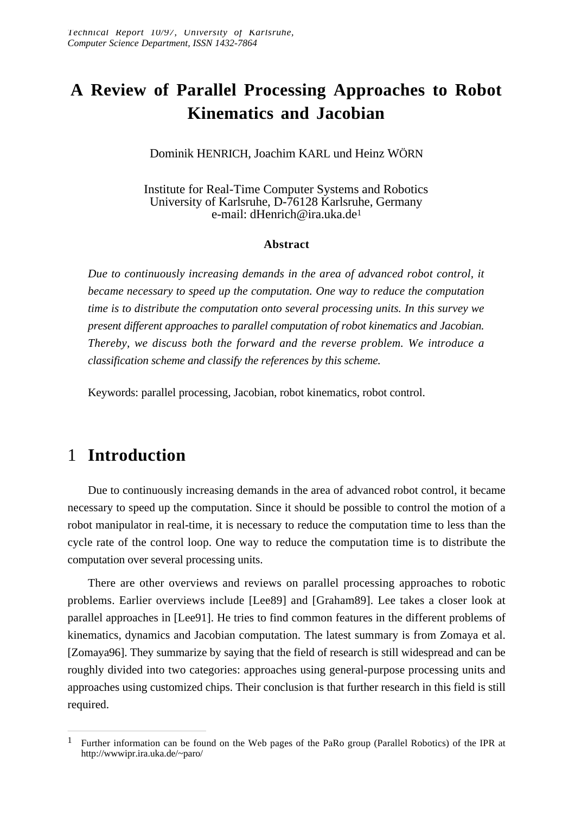# **A Review of Parallel Processing Approaches to Robot Kinematics and Jacobian**

Dominik HENRICH, Joachim KARL und Heinz WÖRN

Institute for Real-Time Computer Systems and Robotics University of Karlsruhe, D-76128 Karlsruhe, Germany e-mail: dHenrich@ira.uka.de<sup>1</sup>

#### **Abstract**

*Due to continuously increasing demands in the area of advanced robot control, it became necessary to speed up the computation. One way to reduce the computation time is to distribute the computation onto several processing units. In this survey we present different approaches to parallel computation of robot kinematics and Jacobian. Thereby, we discuss both the forward and the reverse problem. We introduce a classification scheme and classify the references by this scheme.*

Keywords: parallel processing, Jacobian, robot kinematics, robot control.

## 1 **Introduction**

Due to continuously increasing demands in the area of advanced robot control, it became necessary to speed up the computation. Since it should be possible to control the motion of a robot manipulator in real-time, it is necessary to reduce the computation time to less than the cycle rate of the control loop. One way to reduce the computation time is to distribute the computation over several processing units.

There are other overviews and reviews on parallel processing approaches to robotic problems. Earlier overviews include [Lee89] and [Graham89]. Lee takes a closer look at parallel approaches in [Lee91]. He tries to find common features in the different problems of kinematics, dynamics and Jacobian computation. The latest summary is from Zomaya et al. [Zomaya96]. They summarize by saying that the field of research is still widespread and can be roughly divided into two categories: approaches using general-purpose processing units and approaches using customized chips. Their conclusion is that further research in this field is still required.

<sup>1</sup> Further information can be found on the Web pages of the PaRo group (Parallel Robotics) of the IPR at http://wwwipr.ira.uka.de/~paro/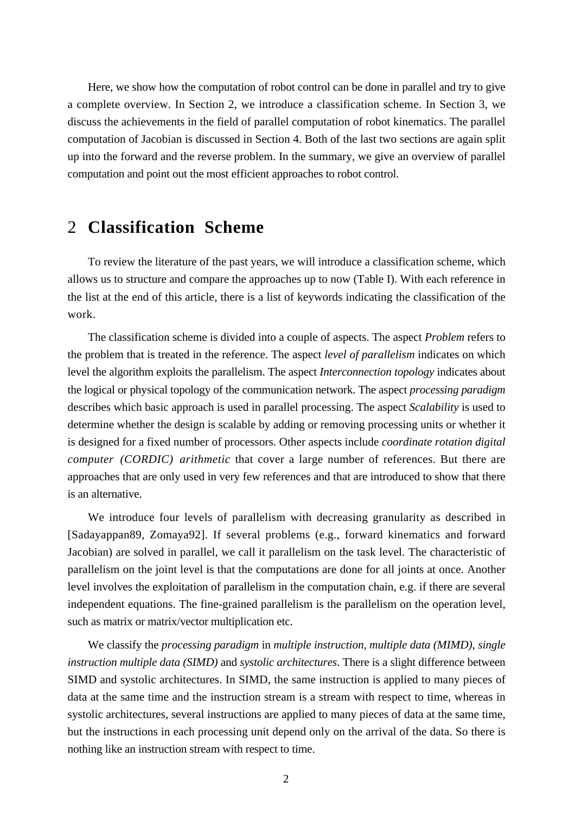Here, we show how the computation of robot control can be done in parallel and try to give a complete overview. In Section 2, we introduce a classification scheme. In Section 3, we discuss the achievements in the field of parallel computation of robot kinematics. The parallel computation of Jacobian is discussed in Section 4. Both of the last two sections are again split up into the forward and the reverse problem. In the summary, we give an overview of parallel computation and point out the most efficient approaches to robot control.

### 2 **Classification Scheme**

To review the literature of the past years, we will introduce a classification scheme, which allows us to structure and compare the approaches up to now (Table I). With each reference in the list at the end of this article, there is a list of keywords indicating the classification of the work.

The classification scheme is divided into a couple of aspects. The aspect *Problem* refers to the problem that is treated in the reference. The aspect *level of parallelism* indicates on which level the algorithm exploits the parallelism. The aspect *Interconnection topology* indicates about the logical or physical topology of the communication network. The aspect *processing paradigm* describes which basic approach is used in parallel processing. The aspect *Scalability* is used to determine whether the design is scalable by adding or removing processing units or whether it is designed for a fixed number of processors. Other aspects include *coordinate rotation digital computer (CORDIC) arithmetic* that cover a large number of references. But there are approaches that are only used in very few references and that are introduced to show that there is an alternative.

We introduce four levels of parallelism with decreasing granularity as described in [Sadayappan89, Zomaya92]. If several problems (e.g., forward kinematics and forward Jacobian) are solved in parallel, we call it parallelism on the task level. The characteristic of parallelism on the joint level is that the computations are done for all joints at once. Another level involves the exploitation of parallelism in the computation chain, e.g. if there are several independent equations. The fine-grained parallelism is the parallelism on the operation level, such as matrix or matrix/vector multiplication etc.

We classify the *processing paradigm* in *multiple instruction, multiple data (MIMD)*, *single instruction multiple data (SIMD)* and *systolic architectures*. There is a slight difference between SIMD and systolic architectures. In SIMD, the same instruction is applied to many pieces of data at the same time and the instruction stream is a stream with respect to time, whereas in systolic architectures, several instructions are applied to many pieces of data at the same time, but the instructions in each processing unit depend only on the arrival of the data. So there is nothing like an instruction stream with respect to time.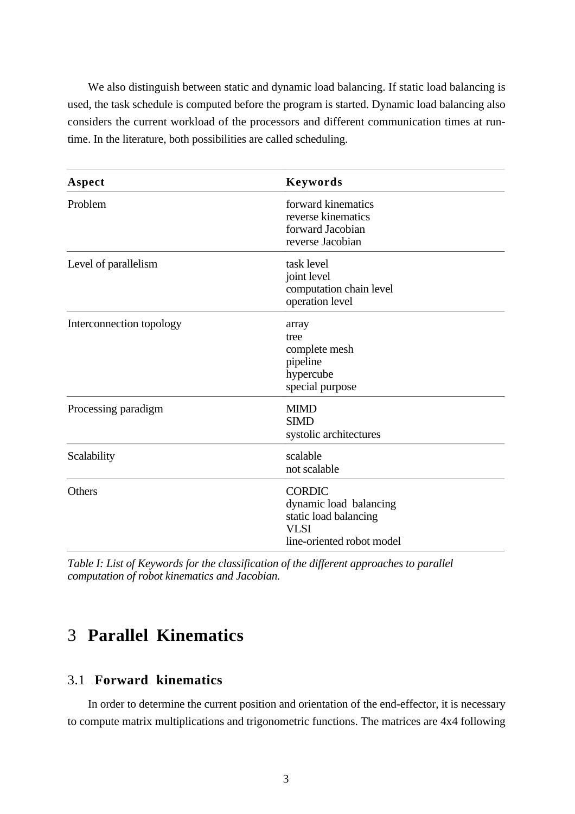We also distinguish between static and dynamic load balancing. If static load balancing is used, the task schedule is computed before the program is started. Dynamic load balancing also considers the current workload of the processors and different communication times at runtime. In the literature, both possibilities are called scheduling.

| Aspect                   | Keywords                                                                                                     |
|--------------------------|--------------------------------------------------------------------------------------------------------------|
| Problem                  | forward kinematics<br>reverse kinematics<br>forward Jacobian<br>reverse Jacobian                             |
| Level of parallelism     | task level<br>joint level<br>computation chain level<br>operation level                                      |
| Interconnection topology | array<br>tree<br>complete mesh<br>pipeline<br>hypercube<br>special purpose                                   |
| Processing paradigm      | <b>MIMD</b><br><b>SIMD</b><br>systolic architectures                                                         |
| Scalability              | scalable<br>not scalable                                                                                     |
| Others                   | <b>CORDIC</b><br>dynamic load balancing<br>static load balancing<br><b>VLSI</b><br>line-oriented robot model |

*Table I: List of Keywords for the classification of the different approaches to parallel computation of robot kinematics and Jacobian.*

## 3 **Parallel Kinematics**

### 3.1 **Forward kinematics**

In order to determine the current position and orientation of the end-effector, it is necessary to compute matrix multiplications and trigonometric functions. The matrices are 4x4 following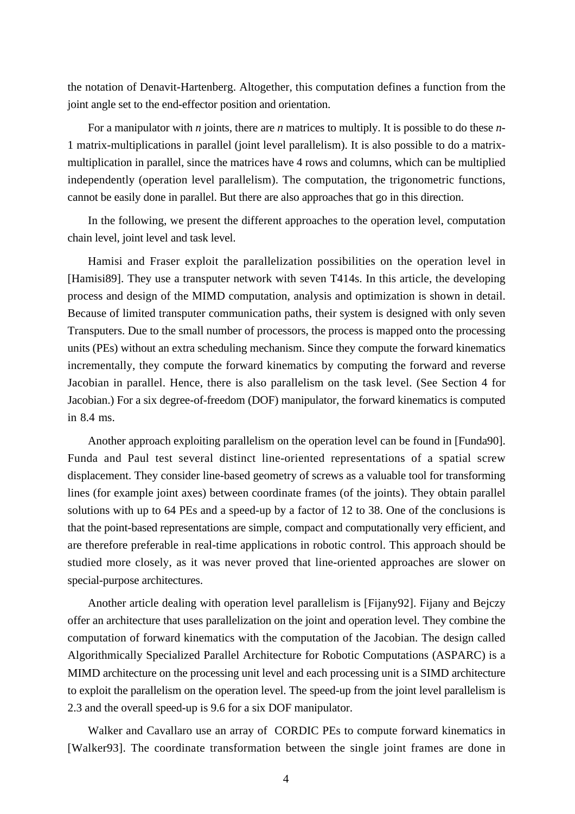the notation of Denavit-Hartenberg. Altogether, this computation defines a function from the joint angle set to the end-effector position and orientation.

For a manipulator with *n* joints, there are *n* matrices to multiply. It is possible to do these *n*-1 matrix-multiplications in parallel (joint level parallelism). It is also possible to do a matrixmultiplication in parallel, since the matrices have 4 rows and columns, which can be multiplied independently (operation level parallelism). The computation, the trigonometric functions, cannot be easily done in parallel. But there are also approaches that go in this direction.

In the following, we present the different approaches to the operation level, computation chain level, joint level and task level.

Hamisi and Fraser exploit the parallelization possibilities on the operation level in [Hamisi89]. They use a transputer network with seven T414s. In this article, the developing process and design of the MIMD computation, analysis and optimization is shown in detail. Because of limited transputer communication paths, their system is designed with only seven Transputers. Due to the small number of processors, the process is mapped onto the processing units (PEs) without an extra scheduling mechanism. Since they compute the forward kinematics incrementally, they compute the forward kinematics by computing the forward and reverse Jacobian in parallel. Hence, there is also parallelism on the task level. (See Section 4 for Jacobian.) For a six degree-of-freedom (DOF) manipulator, the forward kinematics is computed in 8.4 ms.

Another approach exploiting parallelism on the operation level can be found in [Funda90]. Funda and Paul test several distinct line-oriented representations of a spatial screw displacement. They consider line-based geometry of screws as a valuable tool for transforming lines (for example joint axes) between coordinate frames (of the joints). They obtain parallel solutions with up to 64 PEs and a speed-up by a factor of 12 to 38. One of the conclusions is that the point-based representations are simple, compact and computationally very efficient, and are therefore preferable in real-time applications in robotic control. This approach should be studied more closely, as it was never proved that line-oriented approaches are slower on special-purpose architectures.

Another article dealing with operation level parallelism is [Fijany92]. Fijany and Bejczy offer an architecture that uses parallelization on the joint and operation level. They combine the computation of forward kinematics with the computation of the Jacobian. The design called Algorithmically Specialized Parallel Architecture for Robotic Computations (ASPARC) is a MIMD architecture on the processing unit level and each processing unit is a SIMD architecture to exploit the parallelism on the operation level. The speed-up from the joint level parallelism is 2.3 and the overall speed-up is 9.6 for a six DOF manipulator.

Walker and Cavallaro use an array of CORDIC PEs to compute forward kinematics in [Walker93]. The coordinate transformation between the single joint frames are done in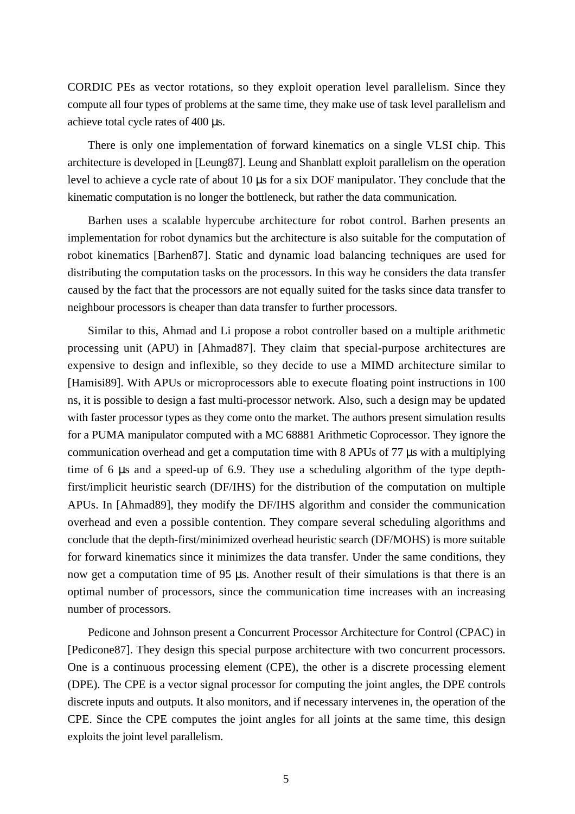CORDIC PEs as vector rotations, so they exploit operation level parallelism. Since they compute all four types of problems at the same time, they make use of task level parallelism and achieve total cycle rates of 400 µs.

There is only one implementation of forward kinematics on a single VLSI chip. This architecture is developed in [Leung87]. Leung and Shanblatt exploit parallelism on the operation level to achieve a cycle rate of about 10 µs for a six DOF manipulator. They conclude that the kinematic computation is no longer the bottleneck, but rather the data communication.

Barhen uses a scalable hypercube architecture for robot control. Barhen presents an implementation for robot dynamics but the architecture is also suitable for the computation of robot kinematics [Barhen87]. Static and dynamic load balancing techniques are used for distributing the computation tasks on the processors. In this way he considers the data transfer caused by the fact that the processors are not equally suited for the tasks since data transfer to neighbour processors is cheaper than data transfer to further processors.

Similar to this, Ahmad and Li propose a robot controller based on a multiple arithmetic processing unit (APU) in [Ahmad87]. They claim that special-purpose architectures are expensive to design and inflexible, so they decide to use a MIMD architecture similar to [Hamisi89]. With APUs or microprocessors able to execute floating point instructions in 100 ns, it is possible to design a fast multi-processor network. Also, such a design may be updated with faster processor types as they come onto the market. The authors present simulation results for a PUMA manipulator computed with a MC 68881 Arithmetic Coprocessor. They ignore the communication overhead and get a computation time with 8 APUs of 77 µs with a multiplying time of 6 µs and a speed-up of 6.9. They use a scheduling algorithm of the type depthfirst/implicit heuristic search (DF/IHS) for the distribution of the computation on multiple APUs. In [Ahmad89], they modify the DF/IHS algorithm and consider the communication overhead and even a possible contention. They compare several scheduling algorithms and conclude that the depth-first/minimized overhead heuristic search (DF/MOHS) is more suitable for forward kinematics since it minimizes the data transfer. Under the same conditions, they now get a computation time of 95  $\mu$ s. Another result of their simulations is that there is an optimal number of processors, since the communication time increases with an increasing number of processors.

Pedicone and Johnson present a Concurrent Processor Architecture for Control (CPAC) in [Pedicone87]. They design this special purpose architecture with two concurrent processors. One is a continuous processing element (CPE), the other is a discrete processing element (DPE). The CPE is a vector signal processor for computing the joint angles, the DPE controls discrete inputs and outputs. It also monitors, and if necessary intervenes in, the operation of the CPE. Since the CPE computes the joint angles for all joints at the same time, this design exploits the joint level parallelism.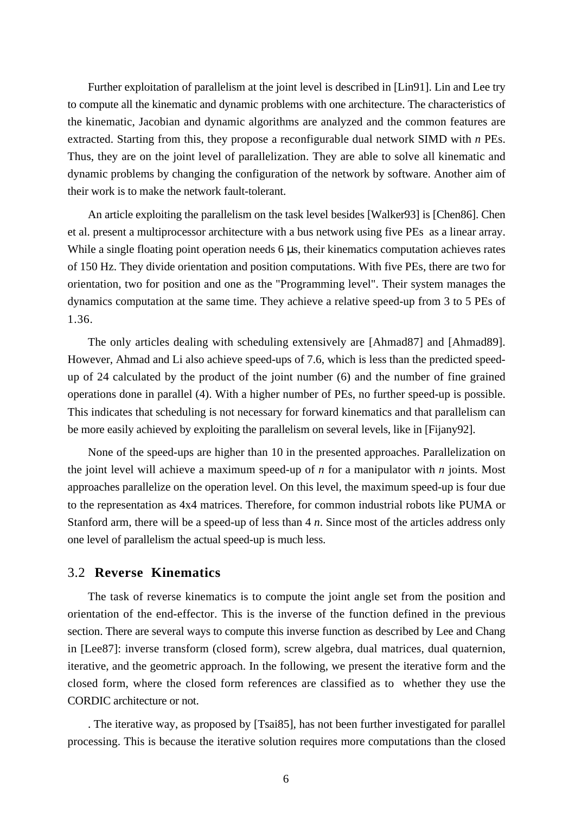Further exploitation of parallelism at the joint level is described in [Lin91]. Lin and Lee try to compute all the kinematic and dynamic problems with one architecture. The characteristics of the kinematic, Jacobian and dynamic algorithms are analyzed and the common features are extracted. Starting from this, they propose a reconfigurable dual network SIMD with *n* PEs. Thus, they are on the joint level of parallelization. They are able to solve all kinematic and dynamic problems by changing the configuration of the network by software. Another aim of their work is to make the network fault-tolerant.

An article exploiting the parallelism on the task level besides [Walker93] is [Chen86]. Chen et al. present a multiprocessor architecture with a bus network using five PEs as a linear array. While a single floating point operation needs 6 us, their kinematics computation achieves rates of 150 Hz. They divide orientation and position computations. With five PEs, there are two for orientation, two for position and one as the "Programming level". Their system manages the dynamics computation at the same time. They achieve a relative speed-up from 3 to 5 PEs of 1.36.

The only articles dealing with scheduling extensively are [Ahmad87] and [Ahmad89]. However, Ahmad and Li also achieve speed-ups of 7.6, which is less than the predicted speedup of 24 calculated by the product of the joint number (6) and the number of fine grained operations done in parallel (4). With a higher number of PEs, no further speed-up is possible. This indicates that scheduling is not necessary for forward kinematics and that parallelism can be more easily achieved by exploiting the parallelism on several levels, like in [Fijany92].

None of the speed-ups are higher than 10 in the presented approaches. Parallelization on the joint level will achieve a maximum speed-up of *n* for a manipulator with *n* joints. Most approaches parallelize on the operation level. On this level, the maximum speed-up is four due to the representation as 4x4 matrices. Therefore, for common industrial robots like PUMA or Stanford arm, there will be a speed-up of less than 4 *n*. Since most of the articles address only one level of parallelism the actual speed-up is much less.

#### 3.2 **Reverse Kinematics**

The task of reverse kinematics is to compute the joint angle set from the position and orientation of the end-effector. This is the inverse of the function defined in the previous section. There are several ways to compute this inverse function as described by Lee and Chang in [Lee87]: inverse transform (closed form), screw algebra, dual matrices, dual quaternion, iterative, and the geometric approach. In the following, we present the iterative form and the closed form, where the closed form references are classified as to whether they use the CORDIC architecture or not.

. The iterative way, as proposed by [Tsai85], has not been further investigated for parallel processing. This is because the iterative solution requires more computations than the closed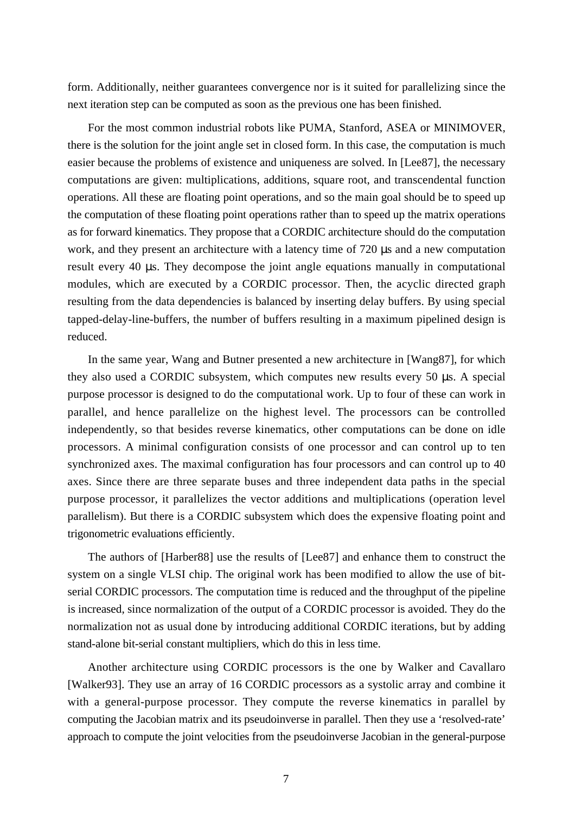form. Additionally, neither guarantees convergence nor is it suited for parallelizing since the next iteration step can be computed as soon as the previous one has been finished.

For the most common industrial robots like PUMA, Stanford, ASEA or MINIMOVER, there is the solution for the joint angle set in closed form. In this case, the computation is much easier because the problems of existence and uniqueness are solved. In [Lee87], the necessary computations are given: multiplications, additions, square root, and transcendental function operations. All these are floating point operations, and so the main goal should be to speed up the computation of these floating point operations rather than to speed up the matrix operations as for forward kinematics. They propose that a CORDIC architecture should do the computation work, and they present an architecture with a latency time of 720 us and a new computation result every 40 µs. They decompose the joint angle equations manually in computational modules, which are executed by a CORDIC processor. Then, the acyclic directed graph resulting from the data dependencies is balanced by inserting delay buffers. By using special tapped-delay-line-buffers, the number of buffers resulting in a maximum pipelined design is reduced.

In the same year, Wang and Butner presented a new architecture in [Wang87], for which they also used a CORDIC subsystem, which computes new results every 50 µs. A special purpose processor is designed to do the computational work. Up to four of these can work in parallel, and hence parallelize on the highest level. The processors can be controlled independently, so that besides reverse kinematics, other computations can be done on idle processors. A minimal configuration consists of one processor and can control up to ten synchronized axes. The maximal configuration has four processors and can control up to 40 axes. Since there are three separate buses and three independent data paths in the special purpose processor, it parallelizes the vector additions and multiplications (operation level parallelism). But there is a CORDIC subsystem which does the expensive floating point and trigonometric evaluations efficiently.

The authors of [Harber88] use the results of [Lee87] and enhance them to construct the system on a single VLSI chip. The original work has been modified to allow the use of bitserial CORDIC processors. The computation time is reduced and the throughput of the pipeline is increased, since normalization of the output of a CORDIC processor is avoided. They do the normalization not as usual done by introducing additional CORDIC iterations, but by adding stand-alone bit-serial constant multipliers, which do this in less time.

Another architecture using CORDIC processors is the one by Walker and Cavallaro [Walker93]. They use an array of 16 CORDIC processors as a systolic array and combine it with a general-purpose processor. They compute the reverse kinematics in parallel by computing the Jacobian matrix and its pseudoinverse in parallel. Then they use a 'resolved-rate' approach to compute the joint velocities from the pseudoinverse Jacobian in the general-purpose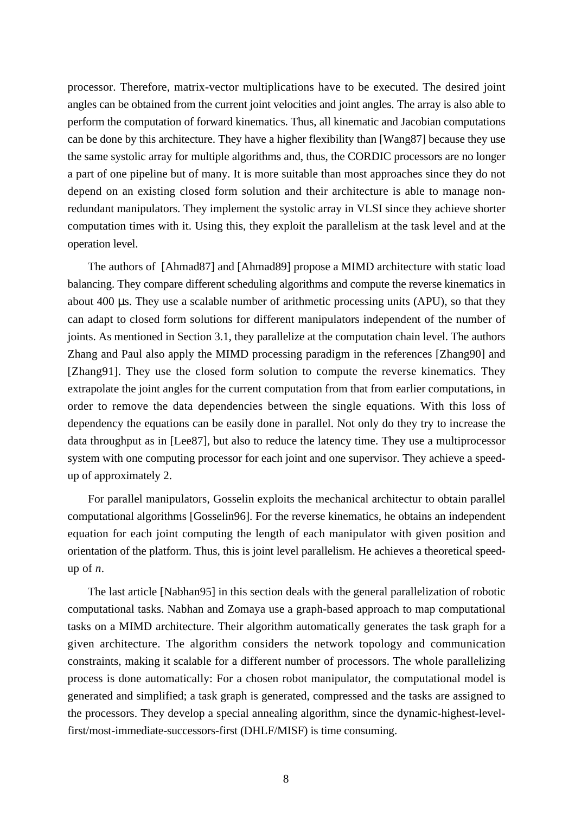processor. Therefore, matrix-vector multiplications have to be executed. The desired joint angles can be obtained from the current joint velocities and joint angles. The array is also able to perform the computation of forward kinematics. Thus, all kinematic and Jacobian computations can be done by this architecture. They have a higher flexibility than [Wang87] because they use the same systolic array for multiple algorithms and, thus, the CORDIC processors are no longer a part of one pipeline but of many. It is more suitable than most approaches since they do not depend on an existing closed form solution and their architecture is able to manage nonredundant manipulators. They implement the systolic array in VLSI since they achieve shorter computation times with it. Using this, they exploit the parallelism at the task level and at the operation level.

The authors of [Ahmad87] and [Ahmad89] propose a MIMD architecture with static load balancing. They compare different scheduling algorithms and compute the reverse kinematics in about 400 µs. They use a scalable number of arithmetic processing units (APU), so that they can adapt to closed form solutions for different manipulators independent of the number of joints. As mentioned in Section 3.1, they parallelize at the computation chain level. The authors Zhang and Paul also apply the MIMD processing paradigm in the references [Zhang90] and [Zhang91]. They use the closed form solution to compute the reverse kinematics. They extrapolate the joint angles for the current computation from that from earlier computations, in order to remove the data dependencies between the single equations. With this loss of dependency the equations can be easily done in parallel. Not only do they try to increase the data throughput as in [Lee87], but also to reduce the latency time. They use a multiprocessor system with one computing processor for each joint and one supervisor. They achieve a speedup of approximately 2.

For parallel manipulators, Gosselin exploits the mechanical architectur to obtain parallel computational algorithms [Gosselin96]. For the reverse kinematics, he obtains an independent equation for each joint computing the length of each manipulator with given position and orientation of the platform. Thus, this is joint level parallelism. He achieves a theoretical speedup of *n*.

The last article [Nabhan95] in this section deals with the general parallelization of robotic computational tasks. Nabhan and Zomaya use a graph-based approach to map computational tasks on a MIMD architecture. Their algorithm automatically generates the task graph for a given architecture. The algorithm considers the network topology and communication constraints, making it scalable for a different number of processors. The whole parallelizing process is done automatically: For a chosen robot manipulator, the computational model is generated and simplified; a task graph is generated, compressed and the tasks are assigned to the processors. They develop a special annealing algorithm, since the dynamic-highest-levelfirst/most-immediate-successors-first (DHLF/MISF) is time consuming.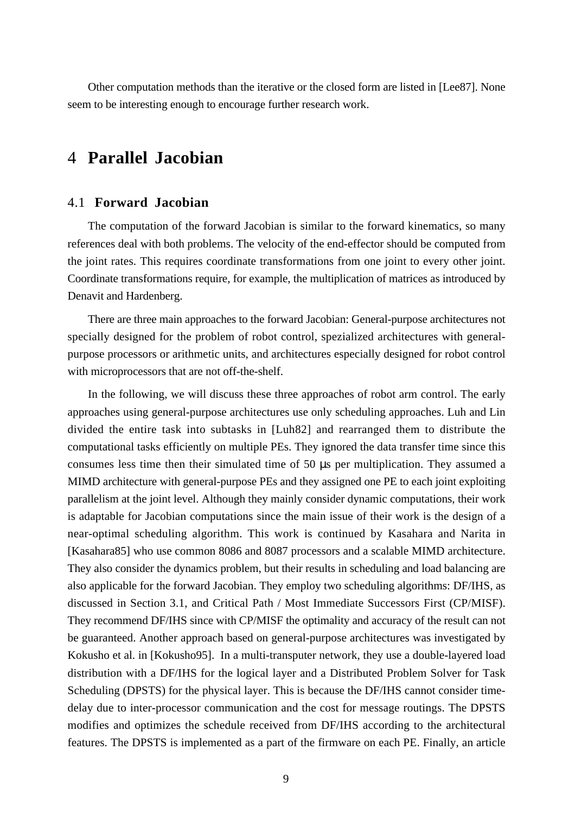Other computation methods than the iterative or the closed form are listed in [Lee87]. None seem to be interesting enough to encourage further research work.

## 4 **Parallel Jacobian**

#### 4.1 **Forward Jacobian**

The computation of the forward Jacobian is similar to the forward kinematics, so many references deal with both problems. The velocity of the end-effector should be computed from the joint rates. This requires coordinate transformations from one joint to every other joint. Coordinate transformations require, for example, the multiplication of matrices as introduced by Denavit and Hardenberg.

There are three main approaches to the forward Jacobian: General-purpose architectures not specially designed for the problem of robot control, spezialized architectures with generalpurpose processors or arithmetic units, and architectures especially designed for robot control with microprocessors that are not off-the-shelf.

In the following, we will discuss these three approaches of robot arm control. The early approaches using general-purpose architectures use only scheduling approaches. Luh and Lin divided the entire task into subtasks in [Luh82] and rearranged them to distribute the computational tasks efficiently on multiple PEs. They ignored the data transfer time since this consumes less time then their simulated time of 50 µs per multiplication. They assumed a MIMD architecture with general-purpose PEs and they assigned one PE to each joint exploiting parallelism at the joint level. Although they mainly consider dynamic computations, their work is adaptable for Jacobian computations since the main issue of their work is the design of a near-optimal scheduling algorithm. This work is continued by Kasahara and Narita in [Kasahara85] who use common 8086 and 8087 processors and a scalable MIMD architecture. They also consider the dynamics problem, but their results in scheduling and load balancing are also applicable for the forward Jacobian. They employ two scheduling algorithms: DF/IHS, as discussed in Section 3.1, and Critical Path / Most Immediate Successors First (CP/MISF). They recommend DF/IHS since with CP/MISF the optimality and accuracy of the result can not be guaranteed. Another approach based on general-purpose architectures was investigated by Kokusho et al. in [Kokusho95]. In a multi-transputer network, they use a double-layered load distribution with a DF/IHS for the logical layer and a Distributed Problem Solver for Task Scheduling (DPSTS) for the physical layer. This is because the DF/IHS cannot consider timedelay due to inter-processor communication and the cost for message routings. The DPSTS modifies and optimizes the schedule received from DF/IHS according to the architectural features. The DPSTS is implemented as a part of the firmware on each PE. Finally, an article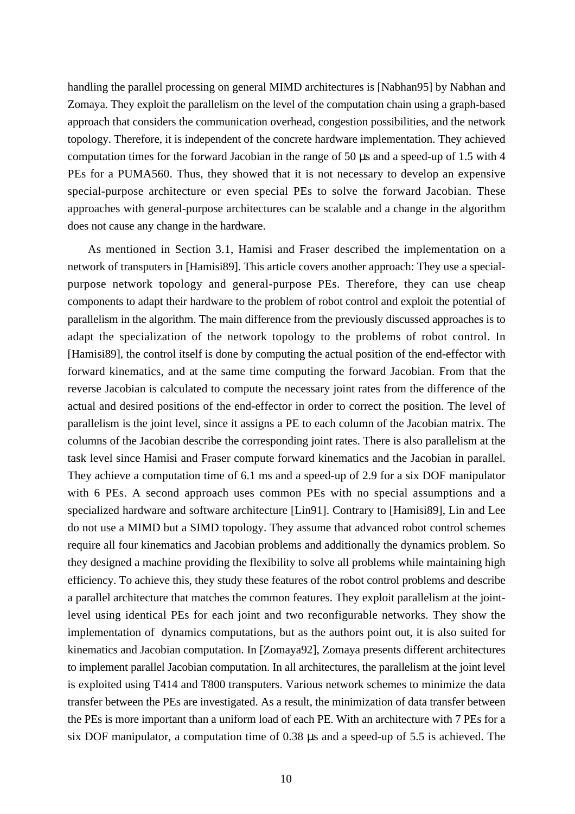handling the parallel processing on general MIMD architectures is [Nabhan95] by Nabhan and Zomaya. They exploit the parallelism on the level of the computation chain using a graph-based approach that considers the communication overhead, congestion possibilities, and the network topology. Therefore, it is independent of the concrete hardware implementation. They achieved computation times for the forward Jacobian in the range of 50 µs and a speed-up of 1.5 with 4 PEs for a PUMA560. Thus, they showed that it is not necessary to develop an expensive special-purpose architecture or even special PEs to solve the forward Jacobian. These approaches with general-purpose architectures can be scalable and a change in the algorithm does not cause any change in the hardware.

As mentioned in Section 3.1, Hamisi and Fraser described the implementation on a network of transputers in [Hamisi89]. This article covers another approach: They use a specialpurpose network topology and general-purpose PEs. Therefore, they can use cheap components to adapt their hardware to the problem of robot control and exploit the potential of parallelism in the algorithm. The main difference from the previously discussed approaches is to adapt the specialization of the network topology to the problems of robot control. In [Hamisi89], the control itself is done by computing the actual position of the end-effector with forward kinematics, and at the same time computing the forward Jacobian. From that the reverse Jacobian is calculated to compute the necessary joint rates from the difference of the actual and desired positions of the end-effector in order to correct the position. The level of parallelism is the joint level, since it assigns a PE to each column of the Jacobian matrix. The columns of the Jacobian describe the corresponding joint rates. There is also parallelism at the task level since Hamisi and Fraser compute forward kinematics and the Jacobian in parallel. They achieve a computation time of 6.1 ms and a speed-up of 2.9 for a six DOF manipulator with 6 PEs. A second approach uses common PEs with no special assumptions and a specialized hardware and software architecture [Lin91]. Contrary to [Hamisi89], Lin and Lee do not use a MIMD but a SIMD topology. They assume that advanced robot control schemes require all four kinematics and Jacobian problems and additionally the dynamics problem. So they designed a machine providing the flexibility to solve all problems while maintaining high efficiency. To achieve this, they study these features of the robot control problems and describe a parallel architecture that matches the common features. They exploit parallelism at the jointlevel using identical PEs for each joint and two reconfigurable networks. They show the implementation of dynamics computations, but as the authors point out, it is also suited for kinematics and Jacobian computation. In [Zomaya92], Zomaya presents different architectures to implement parallel Jacobian computation. In all architectures, the parallelism at the joint level is exploited using T414 and T800 transputers. Various network schemes to minimize the data transfer between the PEs are investigated. As a result, the minimization of data transfer between the PEs is more important than a uniform load of each PE. With an architecture with 7 PEs for a six DOF manipulator, a computation time of 0.38 µs and a speed-up of 5.5 is achieved. The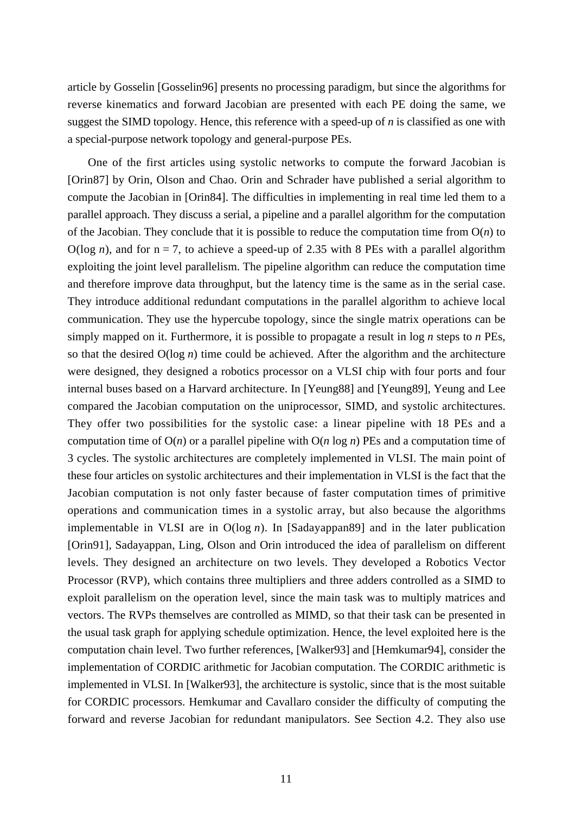article by Gosselin [Gosselin96] presents no processing paradigm, but since the algorithms for reverse kinematics and forward Jacobian are presented with each PE doing the same, we suggest the SIMD topology. Hence, this reference with a speed-up of *n* is classified as one with a special-purpose network topology and general-purpose PEs.

One of the first articles using systolic networks to compute the forward Jacobian is [Orin87] by Orin, Olson and Chao. Orin and Schrader have published a serial algorithm to compute the Jacobian in [Orin84]. The difficulties in implementing in real time led them to a parallel approach. They discuss a serial, a pipeline and a parallel algorithm for the computation of the Jacobian. They conclude that it is possible to reduce the computation time from O(*n*) to  $O(\log n)$ , and for  $n = 7$ , to achieve a speed-up of 2.35 with 8 PEs with a parallel algorithm exploiting the joint level parallelism. The pipeline algorithm can reduce the computation time and therefore improve data throughput, but the latency time is the same as in the serial case. They introduce additional redundant computations in the parallel algorithm to achieve local communication. They use the hypercube topology, since the single matrix operations can be simply mapped on it. Furthermore, it is possible to propagate a result in log *n* steps to *n* PEs, so that the desired O(log *n*) time could be achieved. After the algorithm and the architecture were designed, they designed a robotics processor on a VLSI chip with four ports and four internal buses based on a Harvard architecture. In [Yeung88] and [Yeung89], Yeung and Lee compared the Jacobian computation on the uniprocessor, SIMD, and systolic architectures. They offer two possibilities for the systolic case: a linear pipeline with 18 PEs and a computation time of O(*n*) or a parallel pipeline with O(*n* log *n*) PEs and a computation time of 3 cycles. The systolic architectures are completely implemented in VLSI. The main point of these four articles on systolic architectures and their implementation in VLSI is the fact that the Jacobian computation is not only faster because of faster computation times of primitive operations and communication times in a systolic array, but also because the algorithms implementable in VLSI are in O(log *n*). In [Sadayappan89] and in the later publication [Orin91], Sadayappan, Ling, Olson and Orin introduced the idea of parallelism on different levels. They designed an architecture on two levels. They developed a Robotics Vector Processor (RVP), which contains three multipliers and three adders controlled as a SIMD to exploit parallelism on the operation level, since the main task was to multiply matrices and vectors. The RVPs themselves are controlled as MIMD, so that their task can be presented in the usual task graph for applying schedule optimization. Hence, the level exploited here is the computation chain level. Two further references, [Walker93] and [Hemkumar94], consider the implementation of CORDIC arithmetic for Jacobian computation. The CORDIC arithmetic is implemented in VLSI. In [Walker93], the architecture is systolic, since that is the most suitable for CORDIC processors. Hemkumar and Cavallaro consider the difficulty of computing the forward and reverse Jacobian for redundant manipulators. See Section 4.2. They also use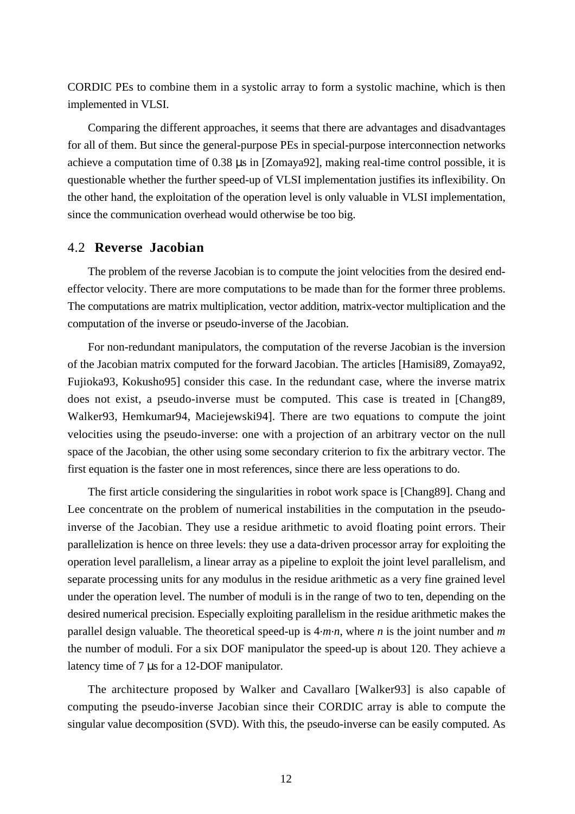CORDIC PEs to combine them in a systolic array to form a systolic machine, which is then implemented in VLSI.

Comparing the different approaches, it seems that there are advantages and disadvantages for all of them. But since the general-purpose PEs in special-purpose interconnection networks achieve a computation time of 0.38 µs in [Zomaya92], making real-time control possible, it is questionable whether the further speed-up of VLSI implementation justifies its inflexibility. On the other hand, the exploitation of the operation level is only valuable in VLSI implementation, since the communication overhead would otherwise be too big.

#### 4.2 **Reverse Jacobian**

The problem of the reverse Jacobian is to compute the joint velocities from the desired endeffector velocity. There are more computations to be made than for the former three problems. The computations are matrix multiplication, vector addition, matrix-vector multiplication and the computation of the inverse or pseudo-inverse of the Jacobian.

For non-redundant manipulators, the computation of the reverse Jacobian is the inversion of the Jacobian matrix computed for the forward Jacobian. The articles [Hamisi89, Zomaya92, Fujioka93, Kokusho95] consider this case. In the redundant case, where the inverse matrix does not exist, a pseudo-inverse must be computed. This case is treated in [Chang89, Walker93, Hemkumar94, Maciejewski94]. There are two equations to compute the joint velocities using the pseudo-inverse: one with a projection of an arbitrary vector on the null space of the Jacobian, the other using some secondary criterion to fix the arbitrary vector. The first equation is the faster one in most references, since there are less operations to do.

The first article considering the singularities in robot work space is [Chang89]. Chang and Lee concentrate on the problem of numerical instabilities in the computation in the pseudoinverse of the Jacobian. They use a residue arithmetic to avoid floating point errors. Their parallelization is hence on three levels: they use a data-driven processor array for exploiting the operation level parallelism, a linear array as a pipeline to exploit the joint level parallelism, and separate processing units for any modulus in the residue arithmetic as a very fine grained level under the operation level. The number of moduli is in the range of two to ten, depending on the desired numerical precision. Especially exploiting parallelism in the residue arithmetic makes the parallel design valuable. The theoretical speed-up is 4.*m*.*n*, where *n* is the joint number and *m* the number of moduli. For a six DOF manipulator the speed-up is about 120. They achieve a latency time of 7 µs for a 12-DOF manipulator.

The architecture proposed by Walker and Cavallaro [Walker93] is also capable of computing the pseudo-inverse Jacobian since their CORDIC array is able to compute the singular value decomposition (SVD). With this, the pseudo-inverse can be easily computed. As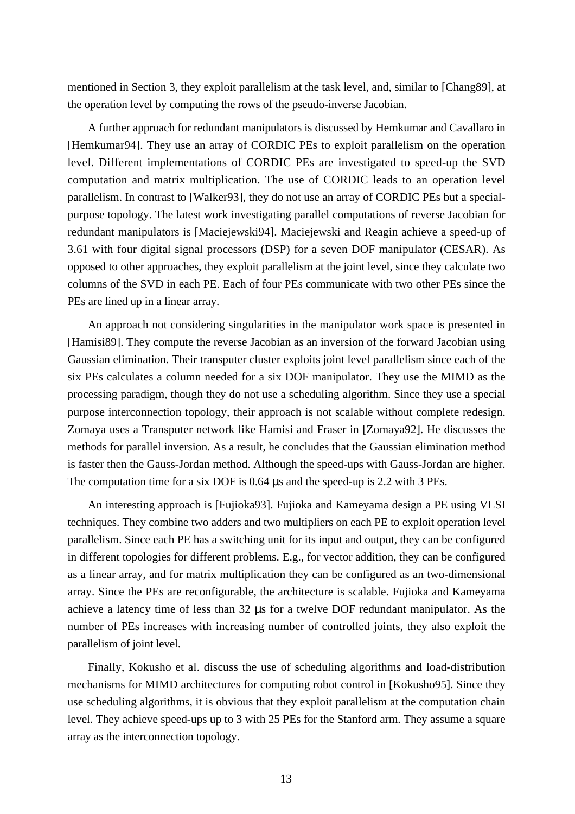mentioned in Section 3, they exploit parallelism at the task level, and, similar to [Chang89], at the operation level by computing the rows of the pseudo-inverse Jacobian.

A further approach for redundant manipulators is discussed by Hemkumar and Cavallaro in [Hemkumar94]. They use an array of CORDIC PEs to exploit parallelism on the operation level. Different implementations of CORDIC PEs are investigated to speed-up the SVD computation and matrix multiplication. The use of CORDIC leads to an operation level parallelism. In contrast to [Walker93], they do not use an array of CORDIC PEs but a specialpurpose topology. The latest work investigating parallel computations of reverse Jacobian for redundant manipulators is [Maciejewski94]. Maciejewski and Reagin achieve a speed-up of 3.61 with four digital signal processors (DSP) for a seven DOF manipulator (CESAR). As opposed to other approaches, they exploit parallelism at the joint level, since they calculate two columns of the SVD in each PE. Each of four PEs communicate with two other PEs since the PEs are lined up in a linear array.

An approach not considering singularities in the manipulator work space is presented in [Hamisi89]. They compute the reverse Jacobian as an inversion of the forward Jacobian using Gaussian elimination. Their transputer cluster exploits joint level parallelism since each of the six PEs calculates a column needed for a six DOF manipulator. They use the MIMD as the processing paradigm, though they do not use a scheduling algorithm. Since they use a special purpose interconnection topology, their approach is not scalable without complete redesign. Zomaya uses a Transputer network like Hamisi and Fraser in [Zomaya92]. He discusses the methods for parallel inversion. As a result, he concludes that the Gaussian elimination method is faster then the Gauss-Jordan method. Although the speed-ups with Gauss-Jordan are higher. The computation time for a six DOF is 0.64  $\mu$ s and the speed-up is 2.2 with 3 PEs.

An interesting approach is [Fujioka93]. Fujioka and Kameyama design a PE using VLSI techniques. They combine two adders and two multipliers on each PE to exploit operation level parallelism. Since each PE has a switching unit for its input and output, they can be configured in different topologies for different problems. E.g., for vector addition, they can be configured as a linear array, and for matrix multiplication they can be configured as an two-dimensional array. Since the PEs are reconfigurable, the architecture is scalable. Fujioka and Kameyama achieve a latency time of less than 32 µs for a twelve DOF redundant manipulator. As the number of PEs increases with increasing number of controlled joints, they also exploit the parallelism of joint level.

Finally, Kokusho et al. discuss the use of scheduling algorithms and load-distribution mechanisms for MIMD architectures for computing robot control in [Kokusho95]. Since they use scheduling algorithms, it is obvious that they exploit parallelism at the computation chain level. They achieve speed-ups up to 3 with 25 PEs for the Stanford arm. They assume a square array as the interconnection topology.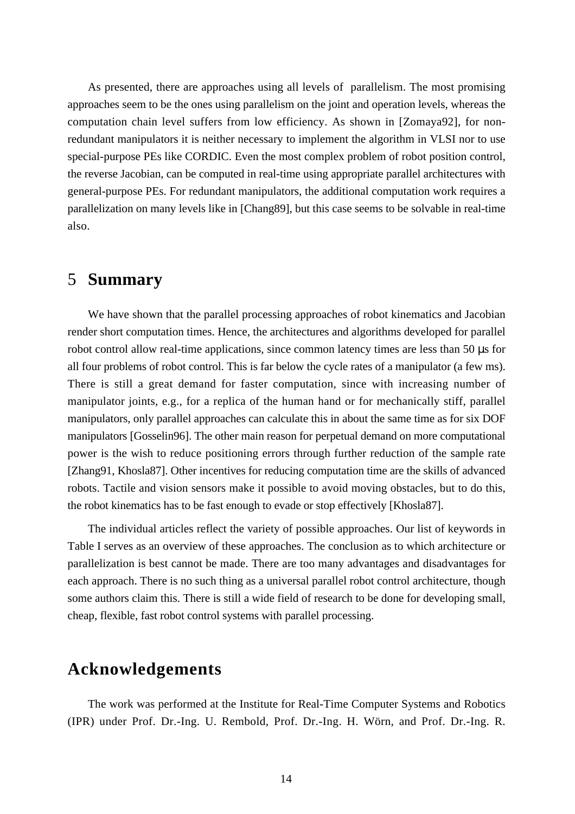As presented, there are approaches using all levels of parallelism. The most promising approaches seem to be the ones using parallelism on the joint and operation levels, whereas the computation chain level suffers from low efficiency. As shown in [Zomaya92], for nonredundant manipulators it is neither necessary to implement the algorithm in VLSI nor to use special-purpose PEs like CORDIC. Even the most complex problem of robot position control, the reverse Jacobian, can be computed in real-time using appropriate parallel architectures with general-purpose PEs. For redundant manipulators, the additional computation work requires a parallelization on many levels like in [Chang89], but this case seems to be solvable in real-time also.

### 5 **Summary**

We have shown that the parallel processing approaches of robot kinematics and Jacobian render short computation times. Hence, the architectures and algorithms developed for parallel robot control allow real-time applications, since common latency times are less than  $50 \mu s$  for all four problems of robot control. This is far below the cycle rates of a manipulator (a few ms). There is still a great demand for faster computation, since with increasing number of manipulator joints, e.g., for a replica of the human hand or for mechanically stiff, parallel manipulators, only parallel approaches can calculate this in about the same time as for six DOF manipulators [Gosselin96]. The other main reason for perpetual demand on more computational power is the wish to reduce positioning errors through further reduction of the sample rate [Zhang91, Khosla87]. Other incentives for reducing computation time are the skills of advanced robots. Tactile and vision sensors make it possible to avoid moving obstacles, but to do this, the robot kinematics has to be fast enough to evade or stop effectively [Khosla87].

The individual articles reflect the variety of possible approaches. Our list of keywords in Table I serves as an overview of these approaches. The conclusion as to which architecture or parallelization is best cannot be made. There are too many advantages and disadvantages for each approach. There is no such thing as a universal parallel robot control architecture, though some authors claim this. There is still a wide field of research to be done for developing small, cheap, flexible, fast robot control systems with parallel processing.

### **Acknowledgements**

The work was performed at the Institute for Real-Time Computer Systems and Robotics (IPR) under Prof. Dr.-Ing. U. Rembold, Prof. Dr.-Ing. H. Wörn, and Prof. Dr.-Ing. R.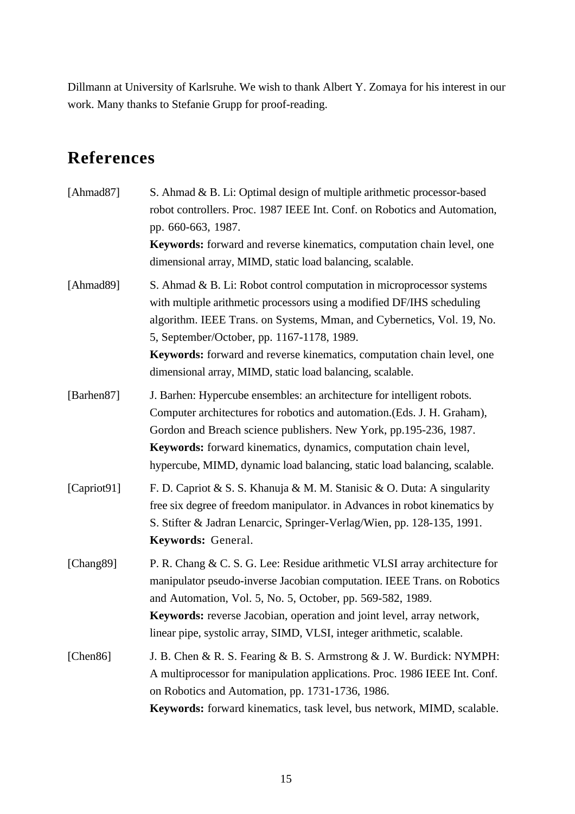Dillmann at University of Karlsruhe. We wish to thank Albert Y. Zomaya for his interest in our work. Many thanks to Stefanie Grupp for proof-reading.

# **References**

| [Ahmad87]   | S. Ahmad & B. Li: Optimal design of multiple arithmetic processor-based<br>robot controllers. Proc. 1987 IEEE Int. Conf. on Robotics and Automation,<br>pp. 660-663, 1987.<br>Keywords: forward and reverse kinematics, computation chain level, one<br>dimensional array, MIMD, static load balancing, scalable.                                                                                              |
|-------------|----------------------------------------------------------------------------------------------------------------------------------------------------------------------------------------------------------------------------------------------------------------------------------------------------------------------------------------------------------------------------------------------------------------|
| [Ahmad89]   | S. Ahmad & B. Li: Robot control computation in microprocessor systems<br>with multiple arithmetic processors using a modified DF/IHS scheduling<br>algorithm. IEEE Trans. on Systems, Mman, and Cybernetics, Vol. 19, No.<br>5, September/October, pp. 1167-1178, 1989.<br>Keywords: forward and reverse kinematics, computation chain level, one<br>dimensional array, MIMD, static load balancing, scalable. |
| [Barhen87]  | J. Barhen: Hypercube ensembles: an architecture for intelligent robots.<br>Computer architectures for robotics and automation. (Eds. J. H. Graham),<br>Gordon and Breach science publishers. New York, pp.195-236, 1987.<br>Keywords: forward kinematics, dynamics, computation chain level,<br>hypercube, MIMD, dynamic load balancing, static load balancing, scalable.                                      |
| [Capriot91] | F. D. Capriot & S. S. Khanuja & M. M. Stanisic & O. Duta: A singularity<br>free six degree of freedom manipulator. in Advances in robot kinematics by<br>S. Stifter & Jadran Lenarcic, Springer-Verlag/Wien, pp. 128-135, 1991.<br>Keywords: General.                                                                                                                                                          |
| [Chang89]   | P. R. Chang & C. S. G. Lee: Residue arithmetic VLSI array architecture for<br>manipulator pseudo-inverse Jacobian computation. IEEE Trans. on Robotics<br>and Automation, Vol. 5, No. 5, October, pp. 569-582, 1989.<br><b>Keywords:</b> reverse Jacobian, operation and joint level, array network,<br>linear pipe, systolic array, SIMD, VLSI, integer arithmetic, scalable.                                 |
| [Chen86]    | J. B. Chen & R. S. Fearing & B. S. Armstrong & J. W. Burdick: NYMPH:<br>A multiprocessor for manipulation applications. Proc. 1986 IEEE Int. Conf.<br>on Robotics and Automation, pp. 1731-1736, 1986.<br>Keywords: forward kinematics, task level, bus network, MIMD, scalable.                                                                                                                               |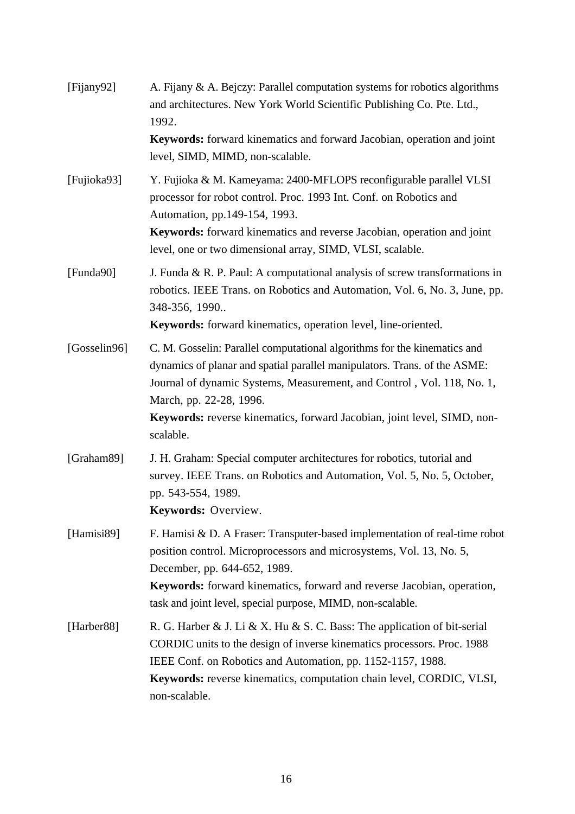| [Fijany92]   | A. Fijany & A. Bejczy: Parallel computation systems for robotics algorithms<br>and architectures. New York World Scientific Publishing Co. Pte. Ltd.,<br>1992.<br>Keywords: forward kinematics and forward Jacobian, operation and joint<br>level, SIMD, MIMD, non-scalable.                                                                       |
|--------------|----------------------------------------------------------------------------------------------------------------------------------------------------------------------------------------------------------------------------------------------------------------------------------------------------------------------------------------------------|
| [Fujioka93]  | Y. Fujioka & M. Kameyama: 2400-MFLOPS reconfigurable parallel VLSI<br>processor for robot control. Proc. 1993 Int. Conf. on Robotics and<br>Automation, pp.149-154, 1993.<br><b>Keywords:</b> forward kinematics and reverse Jacobian, operation and joint<br>level, one or two dimensional array, SIMD, VLSI, scalable.                           |
| [Funda90]    | J. Funda & R. P. Paul: A computational analysis of screw transformations in<br>robotics. IEEE Trans. on Robotics and Automation, Vol. 6, No. 3, June, pp.<br>348-356, 1990<br>Keywords: forward kinematics, operation level, line-oriented.                                                                                                        |
| [Gosselin96] | C. M. Gosselin: Parallel computational algorithms for the kinematics and<br>dynamics of planar and spatial parallel manipulators. Trans. of the ASME:<br>Journal of dynamic Systems, Measurement, and Control, Vol. 118, No. 1,<br>March, pp. 22-28, 1996.<br>Keywords: reverse kinematics, forward Jacobian, joint level, SIMD, non-<br>scalable. |
| [Graham89]   | J. H. Graham: Special computer architectures for robotics, tutorial and<br>survey. IEEE Trans. on Robotics and Automation, Vol. 5, No. 5, October,<br>pp. 543-554, 1989.<br>Keywords: Overview.                                                                                                                                                    |
| [Hamisi89]   | F. Hamisi & D. A Fraser: Transputer-based implementation of real-time robot<br>position control. Microprocessors and microsystems, Vol. 13, No. 5,<br>December, pp. 644-652, 1989.<br><b>Keywords:</b> forward kinematics, forward and reverse Jacobian, operation,<br>task and joint level, special purpose, MIMD, non-scalable.                  |
| [Harber88]   | R. G. Harber & J. Li & X. Hu & S. C. Bass: The application of bit-serial<br>CORDIC units to the design of inverse kinematics processors. Proc. 1988<br>IEEE Conf. on Robotics and Automation, pp. 1152-1157, 1988.<br><b>Keywords:</b> reverse kinematics, computation chain level, CORDIC, VLSI,<br>non-scalable.                                 |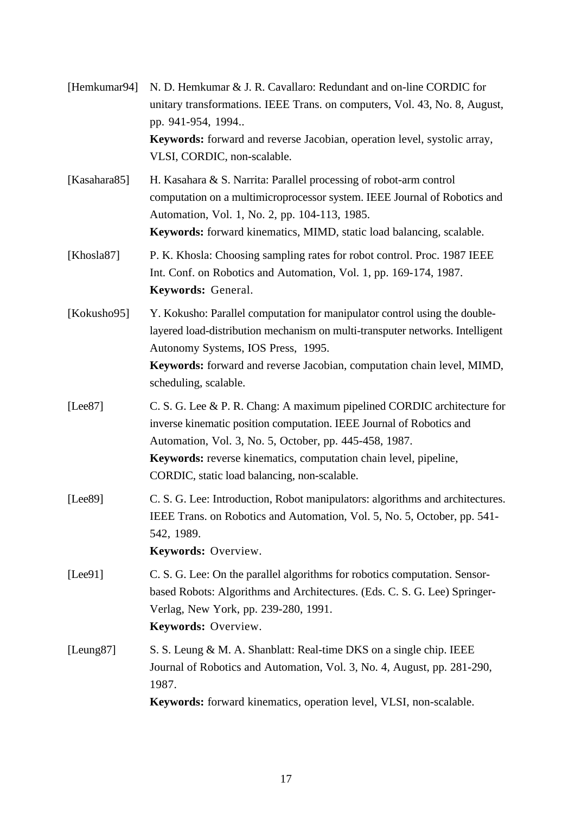| [Hemkumar94]          | N. D. Hemkumar & J. R. Cavallaro: Redundant and on-line CORDIC for<br>unitary transformations. IEEE Trans. on computers, Vol. 43, No. 8, August,<br>pp. 941-954, 1994<br>Keywords: forward and reverse Jacobian, operation level, systolic array,<br>VLSI, CORDIC, non-scalable.                                                     |
|-----------------------|--------------------------------------------------------------------------------------------------------------------------------------------------------------------------------------------------------------------------------------------------------------------------------------------------------------------------------------|
| [Kasahara85]          | H. Kasahara & S. Narrita: Parallel processing of robot-arm control<br>computation on a multimicroprocessor system. IEEE Journal of Robotics and<br>Automation, Vol. 1, No. 2, pp. 104-113, 1985.<br><b>Keywords:</b> forward kinematics, MIMD, static load balancing, scalable.                                                      |
| [Khosla87]            | P. K. Khosla: Choosing sampling rates for robot control. Proc. 1987 IEEE<br>Int. Conf. on Robotics and Automation, Vol. 1, pp. 169-174, 1987.<br>Keywords: General.                                                                                                                                                                  |
| [Kokusho95]           | Y. Kokusho: Parallel computation for manipulator control using the double-<br>layered load-distribution mechanism on multi-transputer networks. Intelligent<br>Autonomy Systems, IOS Press, 1995.<br>Keywords: forward and reverse Jacobian, computation chain level, MIMD,<br>scheduling, scalable.                                 |
| [Lee87]               | C. S. G. Lee & P. R. Chang: A maximum pipelined CORDIC architecture for<br>inverse kinematic position computation. IEEE Journal of Robotics and<br>Automation, Vol. 3, No. 5, October, pp. 445-458, 1987.<br><b>Keywords:</b> reverse kinematics, computation chain level, pipeline,<br>CORDIC, static load balancing, non-scalable. |
| [Lee89]               | C. S. G. Lee: Introduction, Robot manipulators: algorithms and architectures.<br>IEEE Trans. on Robotics and Automation, Vol. 5, No. 5, October, pp. 541-<br>542, 1989.<br>Keywords: Overview.                                                                                                                                       |
| [Lee91]               | C. S. G. Lee: On the parallel algorithms for robotics computation. Sensor-<br>based Robots: Algorithms and Architectures. (Eds. C. S. G. Lee) Springer-<br>Verlag, New York, pp. 239-280, 1991.<br>Keywords: Overview.                                                                                                               |
| [Leung <sub>87]</sub> | S. S. Leung & M. A. Shanblatt: Real-time DKS on a single chip. IEEE<br>Journal of Robotics and Automation, Vol. 3, No. 4, August, pp. 281-290,<br>1987.<br>Keywords: forward kinematics, operation level, VLSI, non-scalable.                                                                                                        |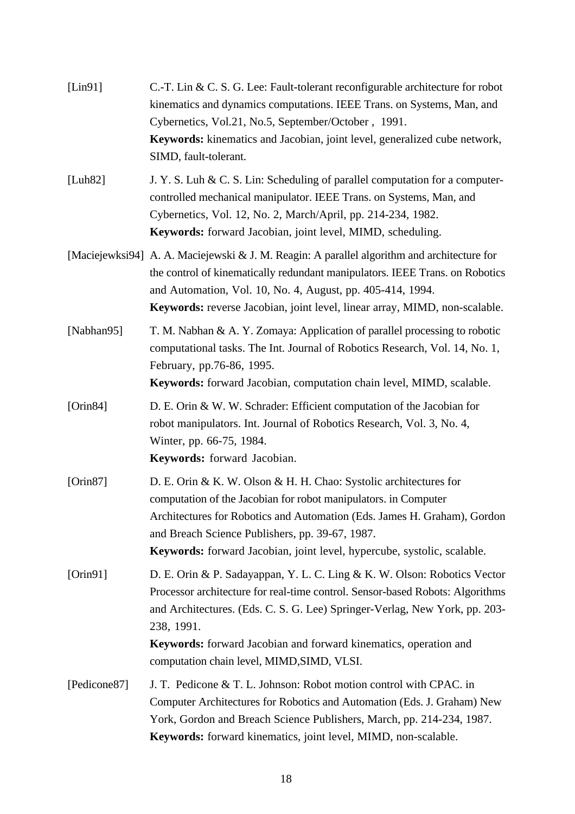| [Lin91]      | C.-T. Lin & C. S. G. Lee: Fault-tolerant reconfigurable architecture for robot<br>kinematics and dynamics computations. IEEE Trans. on Systems, Man, and<br>Cybernetics, Vol.21, No.5, September/October, 1991.<br>Keywords: kinematics and Jacobian, joint level, generalized cube network,<br>SIMD, fault-tolerant.                          |
|--------------|------------------------------------------------------------------------------------------------------------------------------------------------------------------------------------------------------------------------------------------------------------------------------------------------------------------------------------------------|
| [Luh82]      | J. Y. S. Luh & C. S. Lin: Scheduling of parallel computation for a computer-<br>controlled mechanical manipulator. IEEE Trans. on Systems, Man, and<br>Cybernetics, Vol. 12, No. 2, March/April, pp. 214-234, 1982.<br>Keywords: forward Jacobian, joint level, MIMD, scheduling.                                                              |
|              | [Maciejewksi94] A. A. Maciejewski & J. M. Reagin: A parallel algorithm and architecture for<br>the control of kinematically redundant manipulators. IEEE Trans. on Robotics<br>and Automation, Vol. 10, No. 4, August, pp. 405-414, 1994.<br>Keywords: reverse Jacobian, joint level, linear array, MIMD, non-scalable.                        |
| [Nabhan95]   | T. M. Nabhan & A. Y. Zomaya: Application of parallel processing to robotic<br>computational tasks. The Int. Journal of Robotics Research, Vol. 14, No. 1,<br>February, pp.76-86, 1995.<br>Keywords: forward Jacobian, computation chain level, MIMD, scalable.                                                                                 |
| [Orin 84]    | D. E. Orin & W. W. Schrader: Efficient computation of the Jacobian for<br>robot manipulators. Int. Journal of Robotics Research, Vol. 3, No. 4,<br>Winter, pp. 66-75, 1984.<br>Keywords: forward Jacobian.                                                                                                                                     |
| [Orin 87]    | D. E. Orin & K. W. Olson & H. H. Chao: Systolic architectures for<br>computation of the Jacobian for robot manipulators. in Computer<br>Architectures for Robotics and Automation (Eds. James H. Graham), Gordon<br>and Breach Science Publishers, pp. 39-67, 1987.<br>Keywords: forward Jacobian, joint level, hypercube, systolic, scalable. |
| [Orin91]     | D. E. Orin & P. Sadayappan, Y. L. C. Ling & K. W. Olson: Robotics Vector<br>Processor architecture for real-time control. Sensor-based Robots: Algorithms<br>and Architectures. (Eds. C. S. G. Lee) Springer-Verlag, New York, pp. 203-<br>238, 1991.                                                                                          |
|              | Keywords: forward Jacobian and forward kinematics, operation and<br>computation chain level, MIMD, SIMD, VLSI.                                                                                                                                                                                                                                 |
| [Pedicone87] | J. T. Pedicone & T. L. Johnson: Robot motion control with CPAC. in<br>Computer Architectures for Robotics and Automation (Eds. J. Graham) New<br>York, Gordon and Breach Science Publishers, March, pp. 214-234, 1987.<br>Keywords: forward kinematics, joint level, MIMD, non-scalable.                                                       |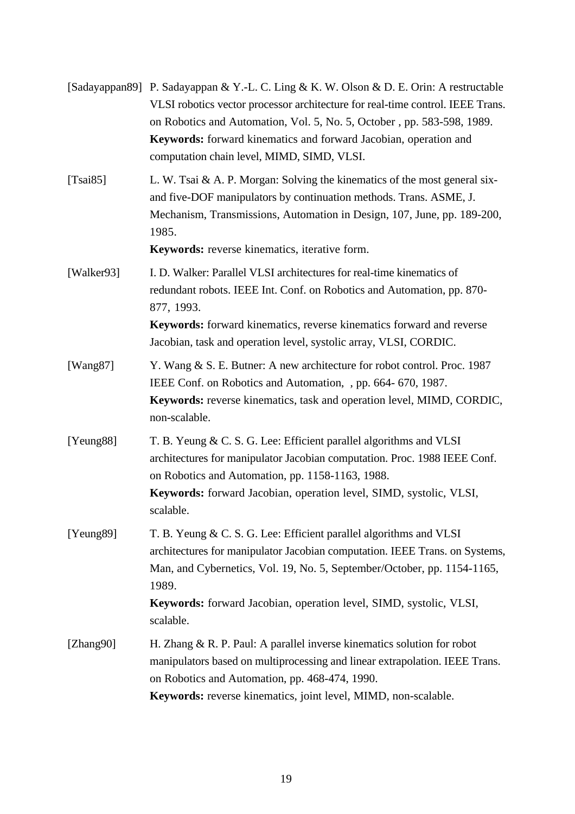|                       | [Sadayappan89] P. Sadayappan & Y.-L. C. Ling & K. W. Olson & D. E. Orin: A restructable<br>VLSI robotics vector processor architecture for real-time control. IEEE Trans.<br>on Robotics and Automation, Vol. 5, No. 5, October, pp. 583-598, 1989.<br><b>Keywords:</b> forward kinematics and forward Jacobian, operation and<br>computation chain level, MIMD, SIMD, VLSI. |
|-----------------------|------------------------------------------------------------------------------------------------------------------------------------------------------------------------------------------------------------------------------------------------------------------------------------------------------------------------------------------------------------------------------|
| [Tsai $85$ ]          | L. W. Tsai & A. P. Morgan: Solving the kinematics of the most general six-<br>and five-DOF manipulators by continuation methods. Trans. ASME, J.<br>Mechanism, Transmissions, Automation in Design, 107, June, pp. 189-200,<br>1985.<br>Keywords: reverse kinematics, iterative form.                                                                                        |
| [Walker93]            | I. D. Walker: Parallel VLSI architectures for real-time kinematics of<br>redundant robots. IEEE Int. Conf. on Robotics and Automation, pp. 870-<br>877, 1993.<br><b>Keywords:</b> forward kinematics, reverse kinematics forward and reverse<br>Jacobian, task and operation level, systolic array, VLSI, CORDIC.                                                            |
| [ $Wang87$ ]          | Y. Wang & S. E. Butner: A new architecture for robot control. Proc. 1987<br>IEEE Conf. on Robotics and Automation, , pp. 664-670, 1987.<br><b>Keywords:</b> reverse kinematics, task and operation level, MIMD, CORDIC,<br>non-scalable.                                                                                                                                     |
| [Yeung88]             | T. B. Yeung & C. S. G. Lee: Efficient parallel algorithms and VLSI<br>architectures for manipulator Jacobian computation. Proc. 1988 IEEE Conf.<br>on Robotics and Automation, pp. 1158-1163, 1988.<br>Keywords: forward Jacobian, operation level, SIMD, systolic, VLSI,<br>scalable.                                                                                       |
| [Yeung <sub>89]</sub> | T. B. Yeung & C. S. G. Lee: Efficient parallel algorithms and VLSI<br>architectures for manipulator Jacobian computation. IEEE Trans. on Systems,<br>Man, and Cybernetics, Vol. 19, No. 5, September/October, pp. 1154-1165,<br>1989.<br>Keywords: forward Jacobian, operation level, SIMD, systolic, VLSI,<br>scalable.                                                     |
| [Zhang90]             | H. Zhang & R. P. Paul: A parallel inverse kinematics solution for robot<br>manipulators based on multiprocessing and linear extrapolation. IEEE Trans.<br>on Robotics and Automation, pp. 468-474, 1990.<br>Keywords: reverse kinematics, joint level, MIMD, non-scalable.                                                                                                   |